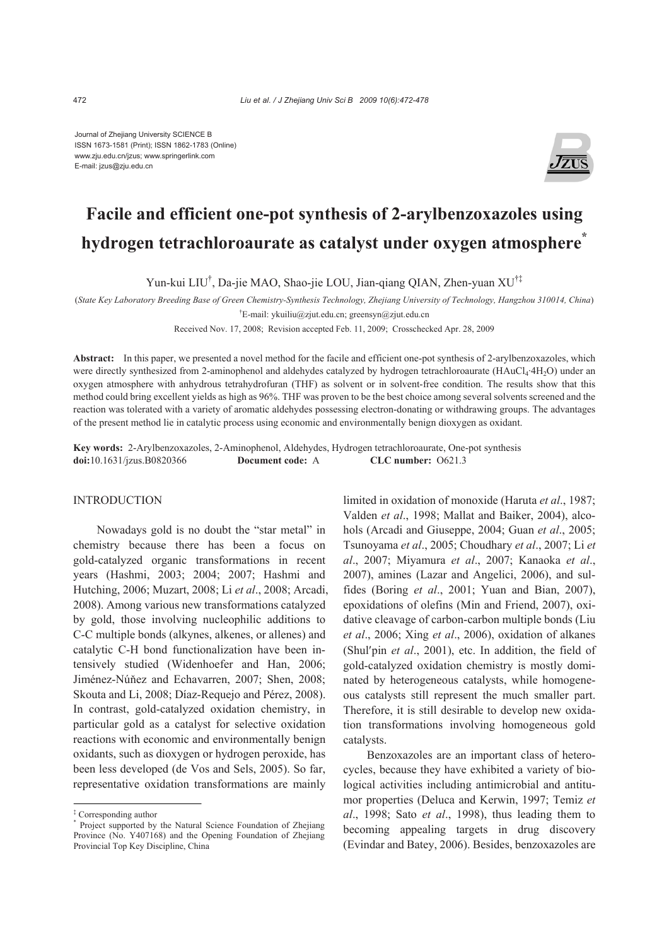Journal of Zhejiang University SCIENCE B ISSN 1673-1581 (Print); ISSN 1862-1783 (Online) www.zju.edu.cn/jzus; www.springerlink.com E-mail: jzus@zju.edu.cn



# **Facile and efficient one-pot synthesis of 2-arylbenzoxazoles using hydrogen tetrachloroaurate as catalyst under oxygen atmosphere\***

Yun-kui LIU† , Da-jie MAO, Shao-jie LOU, Jian-qiang QIAN, Zhen-yuan XU†‡

(*State Key Laboratory Breeding Base of Green Chemistry-Synthesis Technology, Zhejiang University of Technology, Hangzhou 310014, China*) † E-mail: ykuiliu@zjut.edu.cn; greensyn@zjut.edu.cn

Received Nov. 17, 2008; Revision accepted Feb. 11, 2009; Crosschecked Apr. 28, 2009

Abstract: In this paper, we presented a novel method for the facile and efficient one-pot synthesis of 2-arylbenzoxazoles, which were directly synthesized from 2-aminophenol and aldehydes catalyzed by hydrogen tetrachloroaurate (HAuCl<sub>4</sub>·4H<sub>2</sub>O) under an oxygen atmosphere with anhydrous tetrahydrofuran (THF) as solvent or in solvent-free condition. The results show that this method could bring excellent yields as high as 96%. THF was proven to be the best choice among several solvents screened and the reaction was tolerated with a variety of aromatic aldehydes possessing electron-donating or withdrawing groups. The advantages of the present method lie in catalytic process using economic and environmentally benign dioxygen as oxidant.

**Key words:** 2-Arylbenzoxazoles, 2-Aminophenol, Aldehydes, Hydrogen tetrachloroaurate, One-pot synthesis **doi:**10.1631/jzus.B0820366 **Document code:** A **CLC number:** O621.3

## INTRODUCTION

Nowadays gold is no doubt the "star metal" in chemistry because there has been a focus on gold-catalyzed organic transformations in recent years (Hashmi, 2003; 2004; 2007; Hashmi and Hutching, 2006; Muzart, 2008; Li *et al*., 2008; Arcadi, 2008). Among various new transformations catalyzed by gold, those involving nucleophilic additions to C-C multiple bonds (alkynes, alkenes, or allenes) and catalytic C-H bond functionalization have been intensively studied (Widenhoefer and Han, 2006; Jiménez-Núňez and Echavarren, 2007; Shen, 2008; Skouta and Li, 2008; Díaz-Requejo and Pérez, 2008). In contrast, gold-catalyzed oxidation chemistry, in particular gold as a catalyst for selective oxidation reactions with economic and environmentally benign oxidants, such as dioxygen or hydrogen peroxide, has been less developed (de Vos and Sels, 2005). So far, representative oxidation transformations are mainly

limited in oxidation of monoxide (Haruta *et al*., 1987; Valden *et al*., 1998; Mallat and Baiker, 2004), alcohols (Arcadi and Giuseppe, 2004; Guan *et al*., 2005; Tsunoyama *et al*., 2005; Choudhary *et al*., 2007; Li *et al*., 2007; Miyamura *et al*., 2007; Kanaoka *et al*., 2007), amines (Lazar and Angelici, 2006), and sulfides (Boring *et al*., 2001; Yuan and Bian, 2007), epoxidations of olefins (Min and Friend, 2007), oxidative cleavage of carbon-carbon multiple bonds (Liu *et al*., 2006; Xing *et al*., 2006), oxidation of alkanes (Shul′pin *et al*., 2001), etc. In addition, the field of gold-catalyzed oxidation chemistry is mostly dominated by heterogeneous catalysts, while homogeneous catalysts still represent the much smaller part. Therefore, it is still desirable to develop new oxidation transformations involving homogeneous gold catalysts.

Benzoxazoles are an important class of heterocycles, because they have exhibited a variety of biological activities including antimicrobial and antitumor properties (Deluca and Kerwin, 1997; Temiz *et al*., 1998; Sato *et al*., 1998), thus leading them to becoming appealing targets in drug discovery (Evindar and Batey, 2006). Besides, benzoxazoles are

<sup>&</sup>lt;sup>‡</sup> Corresponding author<br><sup>\*</sup> Project supported by

Project supported by the Natural Science Foundation of Zhejiang Province (No. Y407168) and the Opening Foundation of Zhejiang Provincial Top Key Discipline, China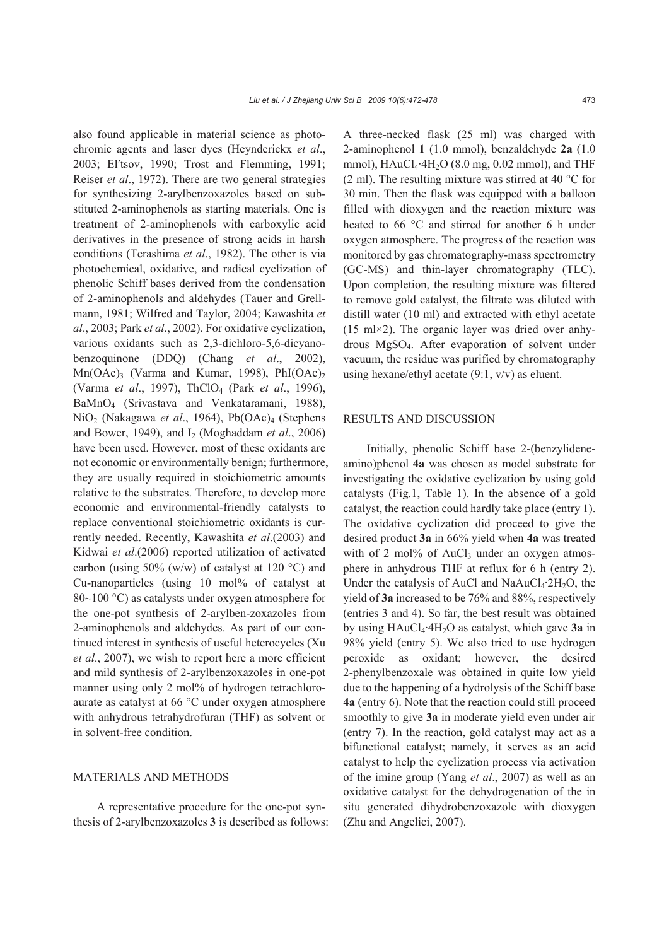also found applicable in material science as photochromic agents and laser dyes (Heynderickx *et al*., 2003; El′tsov, 1990; Trost and Flemming, 1991; Reiser *et al*., 1972). There are two general strategies for synthesizing 2-arylbenzoxazoles based on substituted 2-aminophenols as starting materials. One is treatment of 2-aminophenols with carboxylic acid derivatives in the presence of strong acids in harsh conditions (Terashima *et al*., 1982). The other is via photochemical, oxidative, and radical cyclization of phenolic Schiff bases derived from the condensation of 2-aminophenols and aldehydes (Tauer and Grellmann, 1981; Wilfred and Taylor, 2004; Kawashita *et al*., 2003; Park *et al*., 2002). For oxidative cyclization, various oxidants such as 2,3-dichloro-5,6-dicyanobenzoquinone (DDQ) (Chang *et al*., 2002),  $Mn(OAc)$ <sub>3</sub> (Varma and Kumar, 1998), PhI $(OAc)$ <sub>2</sub> (Varma *et al*., 1997), ThClO4 (Park *et al*., 1996), BaMnO4 (Srivastava and Venkataramani, 1988), NiO2 (Nakagawa *et al*., 1964), Pb(OAc)4 (Stephens and Bower, 1949), and I2 (Moghaddam *et al*., 2006) have been used. However, most of these oxidants are not economic or environmentally benign; furthermore, they are usually required in stoichiometric amounts relative to the substrates. Therefore, to develop more economic and environmental-friendly catalysts to replace conventional stoichiometric oxidants is currently needed. Recently, Kawashita *et al*.(2003) and Kidwai *et al*.(2006) reported utilization of activated carbon (using 50% (w/w) of catalyst at 120 °C) and Cu-nanoparticles (using 10 mol% of catalyst at 80~100 °C) as catalysts under oxygen atmosphere for the one-pot synthesis of 2-arylben-zoxazoles from 2-aminophenols and aldehydes. As part of our continued interest in synthesis of useful heterocycles (Xu *et al*., 2007), we wish to report here a more efficient and mild synthesis of 2-arylbenzoxazoles in one-pot manner using only 2 mol% of hydrogen tetrachloroaurate as catalyst at 66 °C under oxygen atmosphere with anhydrous tetrahydrofuran (THF) as solvent or in solvent-free condition.

## MATERIALS AND METHODS

A representative procedure for the one-pot synthesis of 2-arylbenzoxazoles **3** is described as follows: A three-necked flask (25 ml) was charged with 2-aminophenol **1** (1.0 mmol), benzaldehyde **2a** (1.0 mmol),  $HAuCl_4·4H_2O$  (8.0 mg, 0.02 mmol), and THF (2 ml). The resulting mixture was stirred at 40 °C for 30 min. Then the flask was equipped with a balloon filled with dioxygen and the reaction mixture was heated to 66 °C and stirred for another 6 h under oxygen atmosphere. The progress of the reaction was monitored by gas chromatography-mass spectrometry (GC-MS) and thin-layer chromatography (TLC). Upon completion, the resulting mixture was filtered to remove gold catalyst, the filtrate was diluted with distill water (10 ml) and extracted with ethyl acetate  $(15 \text{ ml} \times 2)$ . The organic layer was dried over anhydrous MgSO4. After evaporation of solvent under vacuum, the residue was purified by chromatography using hexane/ethyl acetate (9:1, v/v) as eluent.

#### RESULTS AND DISCUSSION

Initially, phenolic Schiff base 2-(benzylideneamino)phenol **4a** was chosen as model substrate for investigating the oxidative cyclization by using gold catalysts (Fig.1, Table 1). In the absence of a gold catalyst, the reaction could hardly take place (entry 1). The oxidative cyclization did proceed to give the desired product **3a** in 66% yield when **4a** was treated with of 2 mol% of  $AuCl<sub>3</sub>$  under an oxygen atmosphere in anhydrous THF at reflux for 6 h (entry 2). Under the catalysis of AuCl and NaAuCl<sub>4</sub> $2H_2O$ , the yield of **3a** increased to be 76% and 88%, respectively (entries 3 and 4). So far, the best result was obtained by using HAuCl4·4H2O as catalyst, which gave **3a** in 98% yield (entry 5). We also tried to use hydrogen peroxide as oxidant; however, the desired 2-phenylbenzoxale was obtained in quite low yield due to the happening of a hydrolysis of the Schiff base **4a** (entry 6). Note that the reaction could still proceed smoothly to give **3a** in moderate yield even under air (entry 7). In the reaction, gold catalyst may act as a bifunctional catalyst; namely, it serves as an acid catalyst to help the cyclization process via activation of the imine group (Yang *et al*., 2007) as well as an oxidative catalyst for the dehydrogenation of the in situ generated dihydrobenzoxazole with dioxygen (Zhu and Angelici, 2007).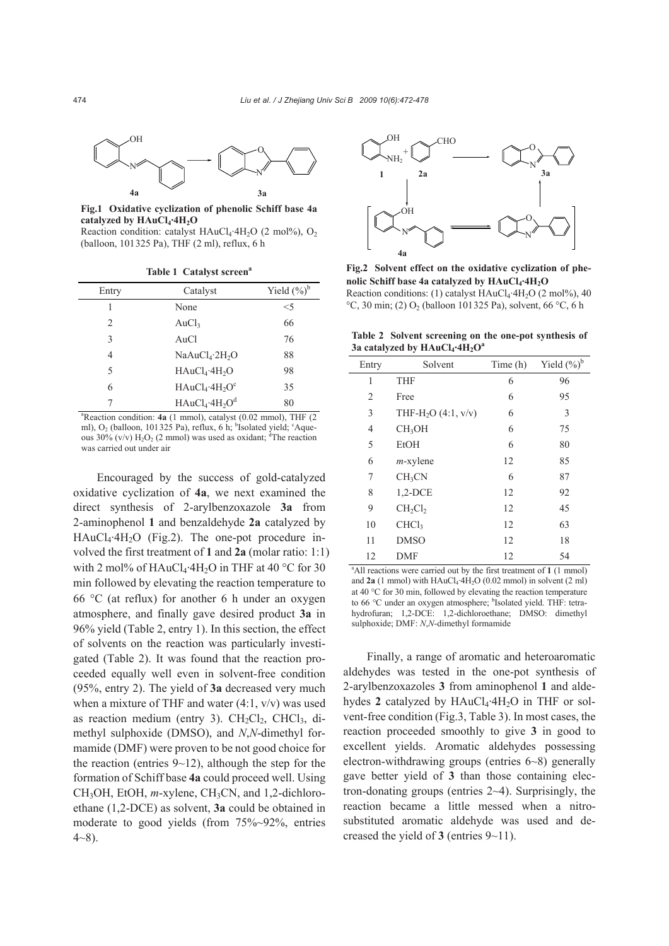

**Fig.1 Oxidative cyclization of phenolic Schiff base 4a**  catalyzed by HAuCl<sub>4</sub>·4H<sub>2</sub>O

Reaction condition: catalyst  $HAuCl_4 \cdot 4H_2O$  (2 mol%),  $O_2$ (balloon, 101325 Pa), THF (2 ml), reflux, 6 h

**Table 1 Catalyst screen<sup>a</sup>** 

| Entry          | Catalyst                               | Yield $(\%)^b$ |
|----------------|----------------------------------------|----------------|
| 1              | None                                   | $<$ 5          |
| $\mathfrak{D}$ | AuCl <sub>3</sub>                      | 66             |
| 3              | AuCl                                   | 76             |
| 4              | NaAuCl <sub>4</sub> ·2H <sub>2</sub> O | 88             |
| 5              | $HAuCl_4.4H_2O$                        | 98             |
| 6              | $HAuCl_4$ ·4 $H_2O^c$                  | 35             |
|                | $HAuCl_4.4H_2O^d$                      | 80             |

a Reaction condition: **4a** (1 mmol), catalyst (0.02 mmol), THF (2 ml), O<sub>2</sub> (balloon, 101325 Pa), reflux, 6 h; <sup>b</sup>Isolated yield; <sup>c</sup>Aqueous  $30\%$  (v/v)  $H_2O_2$  (2 mmol) was used as oxidant; <sup>d</sup>The reaction was carried out under air

Encouraged by the success of gold-catalyzed oxidative cyclization of **4a**, we next examined the direct synthesis of 2-arylbenzoxazole **3a** from 2-aminophenol **1** and benzaldehyde **2a** catalyzed by  $HAuCl<sub>4</sub>·4H<sub>2</sub>O$  (Fig.2). The one-pot procedure involved the first treatment of **1** and **2a** (molar ratio: 1:1) with 2 mol% of  $HAuCl_4$ ·4H<sub>2</sub>O in THF at 40 °C for 30 min followed by elevating the reaction temperature to 66  $\degree$ C (at reflux) for another 6 h under an oxygen atmosphere, and finally gave desired product **3a** in 96% yield (Table 2, entry 1). In this section, the effect of solvents on the reaction was particularly investigated (Table 2). It was found that the reaction proceeded equally well even in solvent-free condition (95%, entry 2). The yield of **3a** decreased very much when a mixture of THF and water  $(4:1, v/v)$  was used as reaction medium (entry 3).  $CH<sub>2</sub>Cl<sub>2</sub>$ , CHCl<sub>3</sub>, dimethyl sulphoxide (DMSO), and *N*,*N*-dimethyl formamide (DMF) were proven to be not good choice for the reaction (entries  $9\neg 12$ ), although the step for the formation of Schiff base **4a** could proceed well. Using CH<sub>3</sub>OH, EtOH, *m*-xylene, CH<sub>3</sub>CN, and 1,2-dichloroethane (1,2-DCE) as solvent, **3a** could be obtained in moderate to good yields (from 75%~92%, entries  $4~8$ ).



**Fig.2 Solvent effect on the oxidative cyclization of phe**nolic Schiff base 4a catalyzed by  $HAuCl<sub>4</sub>·4H<sub>2</sub>O$ Reaction conditions: (1) catalyst  $HAuCl<sub>4</sub>·4H<sub>2</sub>O$  (2 mol%), 40

°C, 30 min; (2) O<sub>2</sub> (balloon 101325 Pa), solvent, 66 °C, 6 h

**Table 2 Solvent screening on the one-pot synthesis of**  3a catalyzed by HAuCl<sub>4</sub>·4H<sub>2</sub>O<sup>a</sup>

| Entry                                                                            | Solvent                           | Time (h) | Yield $(\%)^b$ |  |  |
|----------------------------------------------------------------------------------|-----------------------------------|----------|----------------|--|--|
| 1                                                                                | <b>THF</b>                        | 6        | 96             |  |  |
| 2                                                                                | Free                              | 6        | 95             |  |  |
| 3                                                                                | THF-H <sub>2</sub> O $(4:1, v/v)$ | 6        | 3              |  |  |
| 4                                                                                | CH <sub>3</sub> OH                | 6        | 75             |  |  |
| 5                                                                                | <b>EtOH</b>                       | 6        | 80             |  |  |
| 6                                                                                | $m$ -xylene                       | 12       | 85             |  |  |
| 7                                                                                | CH <sub>3</sub> CN                | 6        | 87             |  |  |
| 8                                                                                | $1,2$ -DCE                        | 12       | 92             |  |  |
| 9                                                                                | $CH_2Cl_2$                        | 12       | 45             |  |  |
| 10                                                                               | CHCl <sub>3</sub>                 | 12       | 63             |  |  |
| 11                                                                               | <b>DMSO</b>                       | 12       | 18             |  |  |
| 12                                                                               | DMF                               | 12       | 54             |  |  |
| <sup>a</sup> All reactions were carried out by the first treatment of 1 (1 mmol) |                                   |          |                |  |  |

and  $2a$  (1 mmol) with  $HAuCl<sub>4</sub>·4H<sub>2</sub>O$  (0.02 mmol) in solvent (2 ml) at 40 °C for 30 min, followed by elevating the reaction temperature to 66 °C under an oxygen atmosphere; <sup>b</sup>Isolated yield. THF: tetrahydrofuran; 1,2-DCE: 1,2-dichloroethane; DMSO: dimethyl sulphoxide; DMF: *N*,*N*-dimethyl formamide

Finally, a range of aromatic and heteroaromatic aldehydes was tested in the one-pot synthesis of 2-arylbenzoxazoles **3** from aminophenol **1** and aldehydes 2 catalyzed by  $HAuCl_4 \cdot 4H_2O$  in THF or solvent-free condition (Fig.3, Table 3). In most cases, the reaction proceeded smoothly to give **3** in good to excellent yields. Aromatic aldehydes possessing electron-withdrawing groups (entries 6~8) generally gave better yield of **3** than those containing electron-donating groups (entries 2~4). Surprisingly, the reaction became a little messed when a nitrosubstituted aromatic aldehyde was used and decreased the yield of **3** (entries 9~11).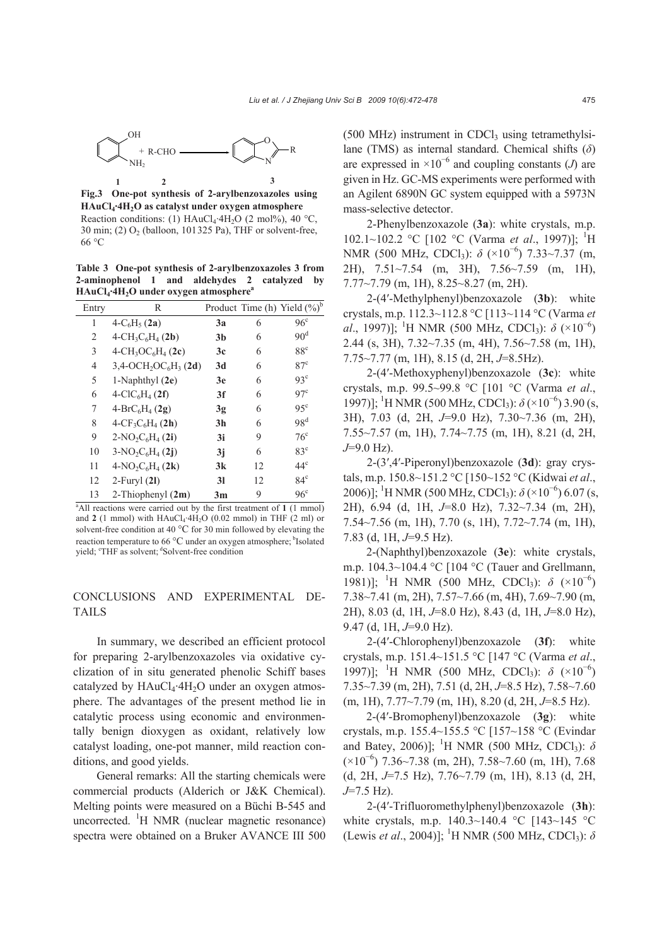

**Fig.3 One-pot synthesis of 2-arylbenzoxazoles using HAuCl4·4H2O as catalyst under oxygen atmosphere**  Reaction conditions: (1) HAuCl<sub>4</sub>·4H<sub>2</sub>O (2 mol%), 40 °C, 30 min; (2) O2 (balloon, 101325 Pa), THF or solvent-free, 66 °C

**Table 3 One-pot synthesis of 2-arylbenzoxazoles 3 from 2-aminophenol 1 and aldehydes 2 catalyzed by HAuCl4·4H2O under oxygen atmosphere<sup>a</sup>**

| Entry          | R                                                           |                |    | Product Time (h) Yield $(\%)^b$ |
|----------------|-------------------------------------------------------------|----------------|----|---------------------------------|
| 1              | $4-C_6H_5(2a)$                                              | 3a             | 6  | 96 <sup>c</sup>                 |
| $\overline{c}$ | $4\text{-CH}_3C_6H_4(2b)$                                   | 3 <sub>b</sub> | 6  | 90 <sup>d</sup>                 |
| 3              | $4 - CH_3OC_6H_4(2c)$                                       | 3c             | 6  | 88 <sup>c</sup>                 |
| 4              | $3,4$ -OCH <sub>2</sub> OC <sub>6</sub> H <sub>3</sub> (2d) | 3d             | 6  | $87^{\circ}$                    |
| 5              | 1-Naphthyl $(2e)$                                           | 3e             | 6  | $93^{\circ}$                    |
| 6              | $4-CIC_6H_4(2f)$                                            | 3f             | 6  | $97^{\circ}$                    |
| 7              | $4-BrC_6H_4(2g)$                                            | 3g             | 6  | $95^{\circ}$                    |
| 8              | $4-CF_3C_6H_4(2h)$                                          | 3 <sub>h</sub> | 6  | 98 <sup>d</sup>                 |
| 9              | $2-NO_2C_6H_4(2i)$                                          | 3i             | 9  | $76^{\circ}$                    |
| 10             | $3-NO_2C_6H_4(2j)$                                          | 3j             | 6  | $83^{\circ}$                    |
| 11             | $4-NO_2C_6H_4(2k)$                                          | 3k             | 12 | $44^{\circ}$                    |
| 12             | $2$ -Furyl $(2I)$                                           | 3 <sub>l</sub> | 12 | $84^\circ$                      |
| 13             | 2-Thiophenyl $(2m)$                                         | 3 <sub>m</sub> | 9  | 96 <sup>c</sup>                 |

<sup>a</sup>All reactions were carried out by the first treatment of 1 (1 mmol) and  $2$  (1 mmol) with  $HAuCl_4$ ·4 $H_2O$  (0.02 mmol) in THF (2 ml) or solvent-free condition at 40 °C for 30 min followed by elevating the reaction temperature to 66 $\degree$ C under an oxygen atmosphere; <sup>b</sup>Isolated yield; 'THF as solvent; <sup>d</sup>Solvent-free condition

# CONCLUSIONS AND EXPERIMENTAL DE-TAILS

In summary, we described an efficient protocol for preparing 2-arylbenzoxazoles via oxidative cyclization of in situ generated phenolic Schiff bases catalyzed by  $HAuCl<sub>4</sub>·4H<sub>2</sub>O$  under an oxygen atmosphere. The advantages of the present method lie in catalytic process using economic and environmentally benign dioxygen as oxidant, relatively low catalyst loading, one-pot manner, mild reaction conditions, and good yields.

General remarks: All the starting chemicals were commercial products (Alderich or J&K Chemical). Melting points were measured on a Büchi B-545 and uncorrected. <sup>1</sup>H NMR (nuclear magnetic resonance) spectra were obtained on a Bruker AVANCE III 500

 $(500 \text{ MHz})$  instrument in CDCl<sub>3</sub> using tetramethylsilane (TMS) as internal standard. Chemical shifts (*δ*) are expressed in  $\times 10^{-6}$  and coupling constants (*J*) are given in Hz. GC-MS experiments were performed with an Agilent 6890N GC system equipped with a 5973N mass-selective detector.

2-Phenylbenzoxazole (**3a**): white crystals, m.p. 102.1~102.2 °C [102 °C (Varma *et al.*, 1997)]; <sup>1</sup>H NMR (500 MHz, CDCl<sub>3</sub>): *δ* (×10<sup>-6</sup>) 7.33∼7.37 (m, 2H), 7.51~7.54 (m, 3H), 7.56~7.59 (m, 1H), 7.77~7.79 (m, 1H), 8.25~8.27 (m, 2H).

2-(4′-Methylphenyl)benzoxazole (**3b**): white crystals, m.p. 112.3*~*112.8 °C [113*~*114 °C (Varma *et al.*, 1997)]; <sup>1</sup>H NMR (500 MHz, CDCl<sub>3</sub>): δ (×10<sup>-6</sup>) 2.44 (s, 3H), 7.32*~*7.35 (m, 4H), 7.56*~*7.58 (m, 1H), 7.75*~*7.77 (m, 1H), 8.15 (d, 2H, *J*=8.5Hz).

2-(4′-Methoxyphenyl)benzoxazole (**3c**): white crystals, m.p. 99.5*~*99.8 °C [101 °C (Varma *et al*., 1997)]; <sup>1</sup>H NMR (500 MHz, CDCl<sub>3</sub>):  $\delta$  (×10<sup>-6</sup>) 3.90 (s, 3H), 7.03 (d, 2H, *J*=9.0 Hz), 7.30*~*7.36 (m, 2H), 7.55*~*7.57 (m, 1H), 7.74*~*7.75 (m, 1H), 8.21 (d, 2H, *J*=9.0 Hz).

2-(3′,4′-Piperonyl)benzoxazole (**3d**): gray crystals, m.p. 150.8*~*151.2 °C [150*~*152 °C (Kidwai *et al*., 2006)]; <sup>1</sup>H NMR (500 MHz, CDCl<sub>3</sub>): δ (×10<sup>-6</sup>) 6.07 (s, 2H), 6.94 (d, 1H, *J*=8.0 Hz), 7.32*~*7.34 (m, 2H), 7.54*~*7.56 (m, 1H), 7.70 (s, 1H), 7.72*~*7.74 (m, 1H), 7.83 (d, 1H, *J*=9.5 Hz).

2-(Naphthyl)benzoxazole (**3e**): white crystals, m.p. 104.3*~*104.4 °C [104 °C (Tauer and Grellmann, 1981)]; <sup>1</sup>H NMR (500 MHz, CDCl<sub>3</sub>): δ (×10<sup>-6</sup>) 7.38*~*7.41 (m, 2H), 7.57*~*7.66 (m, 4H), 7.69*~*7.90 (m, 2H), 8.03 (d, 1H, *J*=8.0 Hz), 8.43 (d, 1H, *J*=8.0 Hz), 9.47 (d, 1H, *J*=9.0 Hz).

2-(4′-Chlorophenyl)benzoxazole (**3f**): white crystals, m.p. 151.4*~*151.5 °C [147 °C (Varma *et al*., 1997)]; <sup>1</sup>H NMR (500 MHz, CDCl<sub>3</sub>): δ (×10<sup>-6</sup>) 7.35*~*7.39 (m, 2H), 7.51 (d, 2H, *J*=8.5 Hz), 7.58*~*7.60 (m, 1H), 7.77~7.79 (m, 1H), 8.20 (d, 2H, *J*=8.5 Hz).

2-(4′-Bromophenyl)benzoxazole (**3g**): white crystals, m.p. 155.4*~*155.5 °C [157*~*158 °C (Evindar and Batey, 2006)]; <sup>1</sup>H NMR (500 MHz, CDCl<sub>3</sub>): δ (×10<sup>−</sup><sup>6</sup> ) 7.36~7.38 (m, 2H), 7.58*~*7.60 (m, 1H), 7.68 (d, 2H, *J*=7.5 Hz), 7.76*~*7.79 (m, 1H), 8.13 (d, 2H, *J*=7.5 Hz).

2-(4′-Trifluoromethylphenyl)benzoxazole (**3h**): white crystals, m.p. 140.3*~*140.4 °C [143*~*145 °C (Lewis *et al.*, 2004)]; <sup>1</sup>H NMR (500 MHz, CDCl<sub>3</sub>): *δ*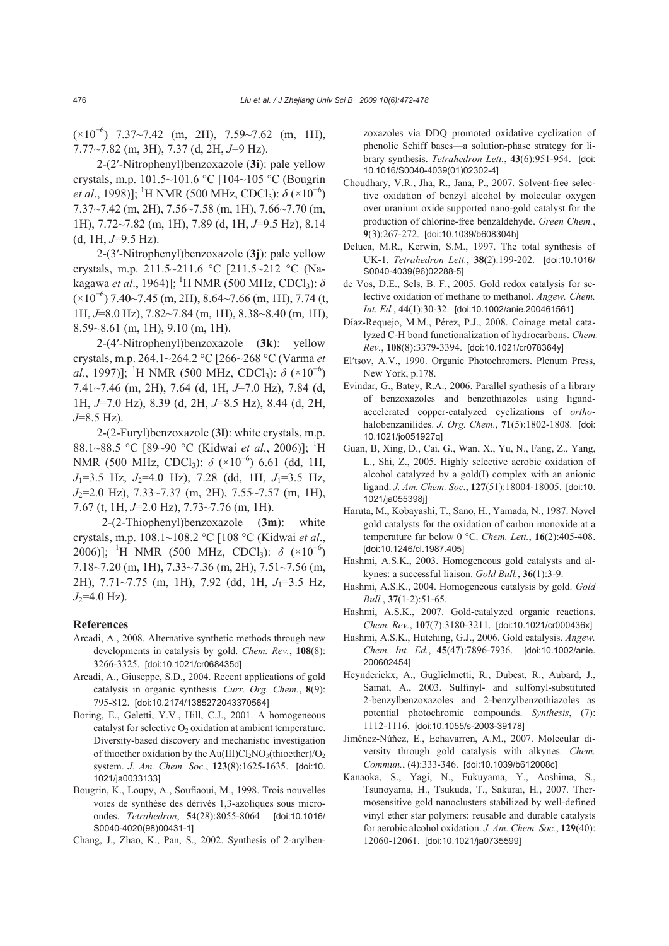(×10<sup>−</sup><sup>6</sup> ) 7.37*~*7.42 (m, 2H), 7.59*~*7.62 (m, 1H), 7.77*~*7.82 (m, 3H), 7.37 (d, 2H, *J*=9 Hz).

2-(2′-Nitrophenyl)benzoxazole (**3i**): pale yellow crystals, m.p. 101.5*~*101.6 °C [104*~*105 °C (Bougrin *et al.*, 1998)]; <sup>1</sup>H NMR (500 MHz, CDCl<sub>3</sub>): *δ* (×10<sup>-6</sup>) 7.37*~*7.42 (m, 2H), 7.56*~*7.58 (m, 1H), 7.66*~*7.70 (m, 1H), 7.72*~*7.82 (m, 1H), 7.89 (d, 1H, *J*=9.5 Hz), 8.14 (d, 1H, *J*=9.5 Hz).

2-(3′-Nitrophenyl)benzoxazole (**3j**): pale yellow crystals, m.p. 211.5*~*211.6 °C [211.5*~*212 °C (Nakagawa *et al*., 1964)]; <sup>1</sup>H NMR (500 MHz, CDCl<sub>3</sub>): *δ* (×10<sup>−</sup><sup>6</sup> ) 7.40*~*7.45 (m, 2H), 8.64*~*7.66 (m, 1H), 7.74 (t, 1H, *J*=8.0 Hz), 7.82*~*7.84 (m, 1H), 8.38*~*8.40 (m, 1H), 8.59*~*8.61 (m, 1H), 9.10 (m, 1H).

2-(4′-Nitrophenyl)benzoxazole (**3k**): yellow crystals, m.p. 264.1*~*264.2 °C [266*~*268 °C (Varma *et al.*, 1997)]; <sup>1</sup>H NMR (500 MHz, CDCl<sub>3</sub>):  $\delta$  (×10<sup>-6</sup>) 7.41*~*7.46 (m, 2H), 7.64 (d, 1H, *J*=7.0 Hz), 7.84 (d, 1H, *J*=7.0 Hz), 8.39 (d, 2H, *J*=8.5 Hz), 8.44 (d, 2H, *J*=8.5 Hz).

2-(2-Furyl)benzoxazole (**3l**): white crystals, m.p. 88.1~88.5 °C [89~90 °C (Kidwai *et al.*, 2006)]; <sup>1</sup>H NMR (500 MHz, CDCl<sub>3</sub>): *δ* (×10<sup>-6</sup>) 6.61 (dd, 1H,  $J_1=3.5$  Hz,  $J_2=4.0$  Hz), 7.28 (dd, 1H,  $J_1=3.5$  Hz, *J*2=2.0 Hz), 7.33*~*7.37 (m, 2H), 7.55*~*7.57 (m, 1H), 7.67 (t, 1H, *J*=2.0 Hz), 7.73*~*7.76 (m, 1H).

2-(2-Thiophenyl)benzoxazole (**3m**): white crystals, m.p. 108.1~108.2 °C [108 °C (Kidwai *et al*., 2006)]; <sup>1</sup>H NMR (500 MHz, CDCl<sub>3</sub>): δ (×10<sup>-6</sup>) 7.18~7.20 (m, 1H), 7.33~7.36 (m, 2H), 7.51~7.56 (m, 2H), 7.71~7.75 (m, 1H), 7.92 (dd, 1H, *J*<sub>1</sub>=3.5 Hz,  $J_2$ =4.0 Hz).

#### **References**

- Arcadi, A., 2008. Alternative synthetic methods through new developments in catalysis by gold. *Chem. Rev.*, **108**(8): 3266-3325. [doi:10.1021/cr068435d]
- Arcadi, A., Giuseppe, S.D., 2004. Recent applications of gold catalysis in organic synthesis. *Curr. Org. Chem.*, **8**(9): 795-812. [doi:10.2174/1385272043370564]
- Boring, E., Geletti, Y.V., Hill, C.J., 2001. A homogeneous catalyst for selective  $O_2$  oxidation at ambient temperature. Diversity-based discovery and mechanistic investigation of thioether oxidation by the Au(III)Cl<sub>2</sub>NO<sub>3</sub>(thioether)/O<sub>2</sub> system. *J. Am. Chem. Soc.*, **123**(8):1625-1635. [doi:10. 1021/ja0033133]
- Bougrin, K., Loupy, A., Soufiaoui, M., 1998. Trois nouvelles voies de synthèse des dérivés 1,3-azoliques sous microondes. *Tetrahedron*, **54**(28):8055-8064 [doi:10.1016/ S0040-4020(98)00431-1]

Chang, J., Zhao, K., Pan, S., 2002. Synthesis of 2-arylben-

zoxazoles via DDQ promoted oxidative cyclization of phenolic Schiff bases—a solution-phase strategy for library synthesis. *Tetrahedron Lett.*, **43**(6):951-954. [doi: 10.1016/S0040-4039(01)02302-4]

- Choudhary, V.R., Jha, R., Jana, P., 2007. Solvent-free selective oxidation of benzyl alcohol by molecular oxygen over uranium oxide supported nano-gold catalyst for the production of chlorine-free benzaldehyde. *Green Chem.*, **9**(3):267-272. [doi:10.1039/b608304h]
- Deluca, M.R., Kerwin, S.M., 1997. The total synthesis of UK-1. *Tetrahedron Lett.*, **38**(2):199-202. [doi:10.1016/ S0040-4039(96)02288-5]
- de Vos, D.E., Sels, B. F., 2005. Gold redox catalysis for selective oxidation of methane to methanol. *Angew. Chem. Int. Ed.*, **44**(1):30-32. [doi:10.1002/anie.200461561]
- Díaz-Requejo, M.M., Pérez, P.J., 2008. Coinage metal catalyzed C-H bond functionalization of hydrocarbons. *Chem. Rev.*, **108**(8):3379-3394. [doi:10.1021/cr078364y]
- El′tsov, A.V., 1990. Organic Photochromers. Plenum Press, New York, p.178.
- Evindar, G., Batey, R.A., 2006. Parallel synthesis of a library of benzoxazoles and benzothiazoles using ligandaccelerated copper-catalyzed cyclizations of *ortho*halobenzanilides. *J. Org. Chem.*, **71**(5):1802-1808. [doi: 10.1021/jo051927q]
- Guan, B, Xing, D., Cai, G., Wan, X., Yu, N., Fang, Z., Yang, L., Shi, Z., 2005. Highly selective aerobic oxidation of alcohol catalyzed by a gold(I) complex with an anionic ligand. *J. Am. Chem. Soc.*, **127**(51):18004-18005. [doi:10. 1021/ja055398j]
- Haruta, M., Kobayashi, T., Sano, H., Yamada, N., 1987. Novel gold catalysts for the oxidation of carbon monoxide at a temperature far below 0 °C. *Chem. Lett.*, **16**(2):405-408. [doi:10.1246/cl.1987.405]
- Hashmi, A.S.K., 2003. Homogeneous gold catalysts and alkynes: a successful liaison. *Gold Bull.*, **36**(1):3-9.
- Hashmi, A.S.K., 2004. Homogeneous catalysis by gold. *Gold Bull.*, **37**(1-2):51-65.
- Hashmi, A.S.K., 2007. Gold-catalyzed organic reactions. *Chem. Rev.*, **107**(7):3180-3211. [doi:10.1021/cr000436x]
- Hashmi, A.S.K., Hutching, G.J., 2006. Gold catalysis. *Angew. Chem. Int. Ed.*, **45**(47):7896-7936. [doi:10.1002/anie. 200602454]
- Heynderickx, A., Guglielmetti, R., Dubest, R., Aubard, J., Samat, A., 2003. Sulfinyl- and sulfonyl-substituted 2-benzylbenzoxazoles and 2-benzylbenzothiazoles as potential photochromic compounds. *Synthesis*, (7): 1112-1116. [doi:10.1055/s-2003-39178]
- Jiménez-Núňez, E., Echavarren, A.M., 2007. Molecular diversity through gold catalysis with alkynes. *Chem. Commun.*, (4):333-346. [doi:10.1039/b612008c]
- Kanaoka, S., Yagi, N., Fukuyama, Y., Aoshima, S., Tsunoyama, H., Tsukuda, T., Sakurai, H., 2007. Thermosensitive gold nanoclusters stabilized by well-defined vinyl ether star polymers: reusable and durable catalysts for aerobic alcohol oxidation. *J. Am. Chem. Soc.*, **129**(40): 12060-12061. [doi:10.1021/ja0735599]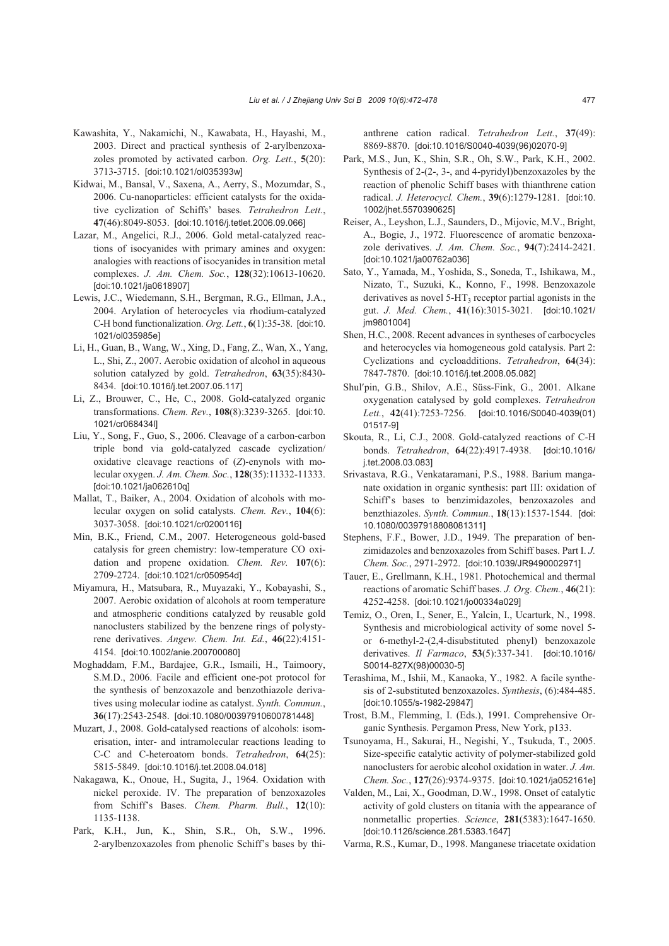- Kawashita, Y., Nakamichi, N., Kawabata, H., Hayashi, M., 2003. Direct and practical synthesis of 2-arylbenzoxazoles promoted by activated carbon. *Org. Lett.*, **5**(20): 3713-3715. [doi:10.1021/ol035393w]
- Kidwai, M., Bansal, V., Saxena, A., Aerry, S., Mozumdar, S., 2006. Cu-nanoparticles: efficient catalysts for the oxidative cyclization of Schiffs' bases*. Tetrahedron Lett.*, **47**(46):8049-8053. [doi:10.1016/j.tetlet.2006.09.066]
- Lazar, M., Angelici, R.J., 2006. Gold metal-catalyzed reactions of isocyanides with primary amines and oxygen: analogies with reactions of isocyanides in transition metal complexes. *J. Am. Chem. Soc.*, **128**(32):10613-10620. [doi:10.1021/ja0618907]
- Lewis, J.C., Wiedemann, S.H., Bergman, R.G., Ellman, J.A., 2004. Arylation of heterocycles via rhodium-catalyzed C-H bond functionalization. *Org. Lett.*, **6**(1):35-38. [doi:10. 1021/ol035985e]
- Li, H., Guan, B., Wang, W., Xing, D., Fang, Z., Wan, X., Yang, L., Shi, Z., 2007. Aerobic oxidation of alcohol in aqueous solution catalyzed by gold. *Tetrahedron*, **63**(35):8430- 8434. [doi:10.1016/j.tet.2007.05.117]
- Li, Z., Brouwer, C., He, C., 2008. Gold-catalyzed organic transformations. *Chem. Rev.*, **108**(8):3239-3265. [doi:10. 1021/cr068434l]
- Liu, Y., Song, F., Guo, S., 2006. Cleavage of a carbon-carbon triple bond via gold-catalyzed cascade cyclization/ oxidative cleavage reactions of (*Z*)-enynols with molecular oxygen. *J. Am. Chem. Soc.*, **128**(35):11332-11333. [doi:10.1021/ja062610q]
- Mallat, T., Baiker, A., 2004. Oxidation of alcohols with molecular oxygen on solid catalysts. *Chem. Rev.*, **104**(6): 3037-3058. [doi:10.1021/cr0200116]
- Min, B.K., Friend, C.M., 2007. Heterogeneous gold-based catalysis for green chemistry: low-temperature CO oxidation and propene oxidation. *Chem. Rev.* **107**(6): 2709-2724. [doi:10.1021/cr050954d]
- Miyamura, H., Matsubara, R., Muyazaki, Y., Kobayashi, S., 2007. Aerobic oxidation of alcohols at room temperature and atmospheric conditions catalyzed by reusable gold nanoclusters stabilized by the benzene rings of polystyrene derivatives. *Angew. Chem. Int. Ed.*, **46**(22):4151- 4154. [doi:10.1002/anie.200700080]
- Moghaddam, F.M., Bardajee, G.R., Ismaili, H., Taimoory, S.M.D., 2006. Facile and efficient one-pot protocol for the synthesis of benzoxazole and benzothiazole derivatives using molecular iodine as catalyst. *Synth. Commun.*, **36**(17):2543-2548. [doi:10.1080/00397910600781448]
- Muzart, J., 2008. Gold-catalysed reactions of alcohols: isomerisation, inter- and intramolecular reactions leading to C-C and C-heteroatom bonds. *Tetrahedron*, **64**(25): 5815-5849. [doi:10.1016/j.tet.2008.04.018]
- Nakagawa, K., Onoue, H., Sugita, J., 1964. Oxidation with nickel peroxide. IV. The preparation of benzoxazoles from Schiff's Bases. *Chem. Pharm. Bull.*, **12**(10): 1135-1138.
- Park, K.H., Jun, K., Shin, S.R., Oh, S.W., 1996. 2-arylbenzoxazoles from phenolic Schiff's bases by thi-

anthrene cation radical. *Tetrahedron Lett.*, **37**(49): 8869-8870. [doi:10.1016/S0040-4039(96)02070-9]

- Park, M.S., Jun, K., Shin, S.R., Oh, S.W., Park, K.H., 2002. Synthesis of 2-(2-, 3-, and 4-pyridyl)benzoxazoles by the reaction of phenolic Schiff bases with thianthrene cation radical. *J. Heterocycl. Chem.*, **39**(6):1279-1281. [doi:10. 1002/jhet.5570390625]
- Reiser, A., Leyshon, L.J., Saunders, D., Mijovic, M.V., Bright, A., Bogie, J., 1972. Fluorescence of aromatic benzoxazole derivatives. *J. Am. Chem. Soc.*, **94**(7):2414-2421. [doi:10.1021/ja00762a036]
- Sato, Y., Yamada, M., Yoshida, S., Soneda, T., Ishikawa, M., Nizato, T., Suzuki, K., Konno, F., 1998. Benzoxazole derivatives as novel  $5-HT_3$  receptor partial agonists in the gut. *J. Med. Chem.*, **41**(16):3015-3021. [doi:10.1021/ im98010041
- Shen, H.C., 2008. Recent advances in syntheses of carbocycles and heterocycles via homogeneous gold catalysis. Part 2: Cyclizations and cycloadditions. *Tetrahedron*, **64**(34): 7847-7870. [doi:10.1016/j.tet.2008.05.082]
- Shul′pin, G.B., Shilov, A.E., Süss-Fink, G., 2001. Alkane oxygenation catalysed by gold complexes. *Tetrahedron Lett.*, **42**(41):7253-7256. [doi:10.1016/S0040-4039(01) 01517-9]
- Skouta, R., Li, C.J., 2008. Gold-catalyzed reactions of C-H bonds. *Tetrahedron*, **64**(22):4917-4938. [doi:10.1016/ j.tet.2008.03.083]
- Srivastava, R.G., Venkataramani, P.S., 1988. Barium manganate oxidation in organic synthesis: part III: oxidation of Schiff's bases to benzimidazoles, benzoxazoles and benzthiazoles. *Synth. Commun.*, **18**(13):1537-1544. [doi: 10.1080/00397918808081311]
- Stephens, F.F., Bower, J.D., 1949. The preparation of benzimidazoles and benzoxazoles from Schiff bases. Part I. *J. Chem. Soc.*, 2971-2972. [doi:10.1039/JR9490002971]
- Tauer, E., Grellmann, K.H., 1981. Photochemical and thermal reactions of aromatic Schiff bases. *J. Org. Chem.*, **46**(21): 4252-4258. [doi:10.1021/jo00334a029]
- Temiz, O., Oren, I., Sener, E., Yalcin, I., Ucarturk, N., 1998. Synthesis and microbiological activity of some novel 5 or 6-methyl-2-(2,4-disubstituted phenyl) benzoxazole derivatives. *Il Farmaco*, **53**(5):337-341. [doi:10.1016/ S0014-827X(98)00030-5]
- Terashima, M., Ishii, M., Kanaoka, Y., 1982. A facile synthesis of 2-substituted benzoxazoles. *Synthesis*, (6):484-485. [doi:10.1055/s-1982-29847]
- Trost, B.M., Flemming, I. (Eds.), 1991. Comprehensive Organic Synthesis. Pergamon Press, New York, p133.
- Tsunoyama, H., Sakurai, H., Negishi, Y., Tsukuda, T., 2005. Size-specific catalytic activity of polymer-stabilized gold nanoclusters for aerobic alcohol oxidation in water. *J. Am. Chem. Soc.*, **127**(26):9374-9375. [doi:10.1021/ja052161e]
- Valden, M., Lai, X., Goodman, D.W., 1998. Onset of catalytic activity of gold clusters on titania with the appearance of nonmetallic properties. *Science*, **281**(5383):1647-1650. [doi:10.1126/science.281.5383.1647]
- Varma, R.S., Kumar, D., 1998. Manganese triacetate oxidation